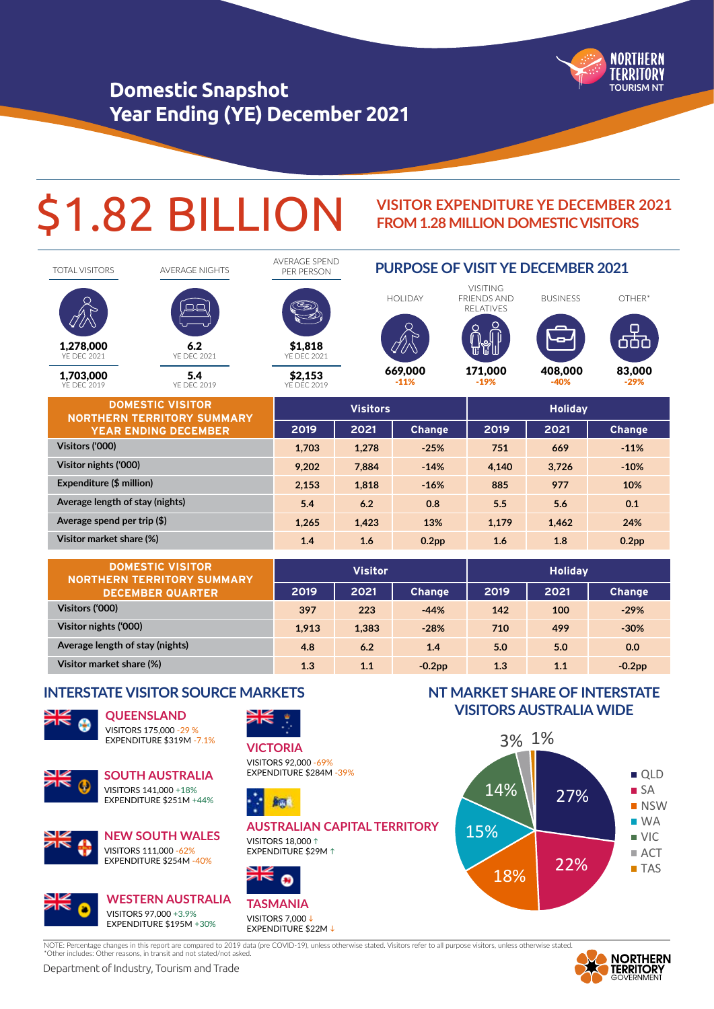## **Domestic Snapshot Year Ending (YE) December 2021**



# \$1.82 BILLION **YISITOR EXPENDITURE YE DECEMBER 2021**

## **FROM 1.28 MILLION DOMESTIC VISITORS**



| <u>PUMEUTIV TIJITUM</u><br><b>NORTHERN TERRITORY SUMMARY</b> | Visitor |       |               | <b>Holiday</b> |      |               |
|--------------------------------------------------------------|---------|-------|---------------|----------------|------|---------------|
| <b>DECEMBER QUARTER</b>                                      | 2019    | 2021  | <b>Change</b> | 2019           | 2021 | <b>Change</b> |
| Visitors ('000)                                              | 397     | 223   | $-44%$        | 142            | 100  | $-29%$        |
| Visitor nights ('000)                                        | 1.913   | 1.383 | $-28%$        | 710            | 499  | $-30%$        |
| Average length of stay (nights)                              | 4.8     | 6.2   | 1.4           | 5.0            | 5.0  | 0.0           |
| Visitor market share (%)                                     | 1.3     | 1.1   | $-0.2$ pp     | 1.3            | 1.1  | $-0.2$ pp     |

## **INTERSTATE VISITOR SOURCE MARKETS**



## **QUEENSLAND**

VISITORS 175,000 -29 % EXPENDITURE \$319M -7.1%



**SOUTH AUSTRALIA** VISITORS 141,000 +18% EXPENDITURE \$251M +44%











VISITORS 18,000 h EXPENDITURE \$29M 1

師

**VICTORIA**

VISITORS 92,000 - 69%<br>EXPENDITURE \$284M - 39%

**NT MARKET SHARE OF INTERSTATE VISITORS AUSTRALIA WIDE**



NOTE: Percentage changes in this report are compared to 2019 data (pre COVID-19), unless otherwise stated. Visitors refer to all purpose visitors, unless otherwise stated. \*Other includes: Other reasons, in transit and not stated/not asked.



Department of Industry, Tourism and Trade

VISITORS 97,000 +3.9% EXPENDITURE \$195M +30%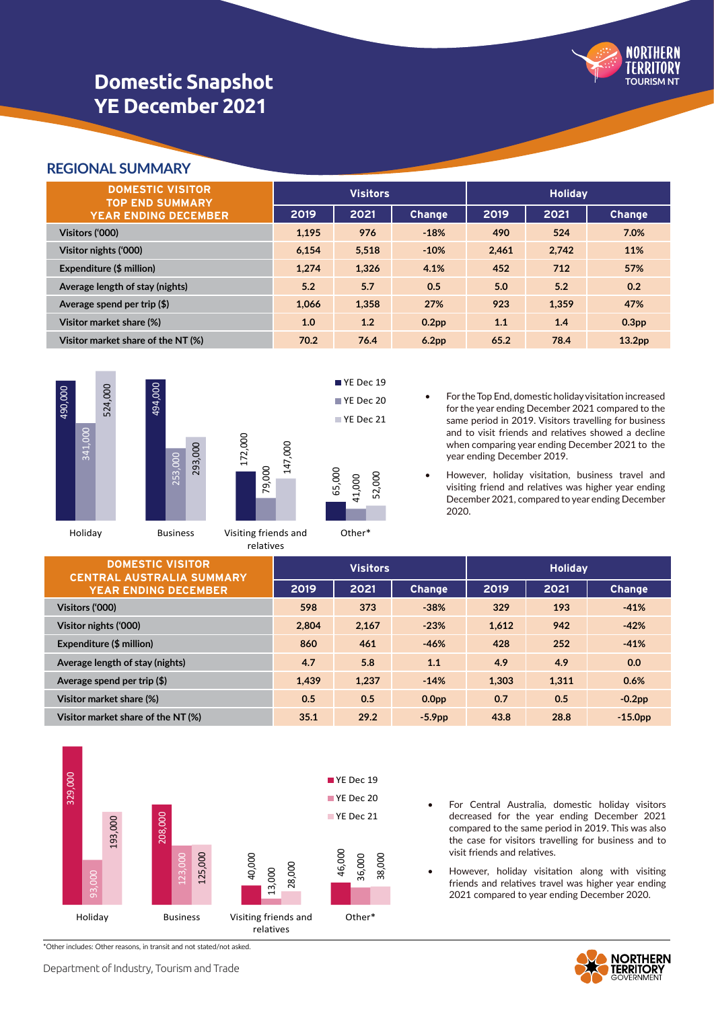

## **Domestic Snapshot YE December 2021**

#### **REGIONAL SUMMARY**

| <b>DOMESTIC VISITOR</b><br><b>TOP END SUMMARY</b> | <b>Visitors</b> |       |                   | <b>Holiday</b> |       |                    |
|---------------------------------------------------|-----------------|-------|-------------------|----------------|-------|--------------------|
| <b>YEAR ENDING DECEMBER</b>                       | 2019            | 2021  | <b>Change</b>     | 2019           | 2021  | <b>Change</b>      |
| Visitors ('000)                                   | 1,195           | 976   | $-18%$            | 490            | 524   | 7.0%               |
| Visitor nights ('000)                             | 6,154           | 5,518 | $-10%$            | 2.461          | 2.742 | 11%                |
| Expenditure (\$ million)                          | 1,274           | 1,326 | 4.1%              | 452            | 712   | 57%                |
| Average length of stay (nights)                   | 5.2             | 5.7   | 0.5               | 5.0            | 5.2   | 0.2                |
| Average spend per trip $(\$)$                     | 1.066           | 1,358 | 27%               | 923            | 1.359 | 47%                |
| Visitor market share (%)                          | 1.0             | 1.2   | 0.2 <sub>pp</sub> | 1.1            | 1.4   | 0.3 <sub>pp</sub>  |
| Visitor market share of the NT (%)                | 70.2            | 76.4  | 6.2 <sub>pp</sub> | 65.2           | 78.4  | 13.2 <sub>pp</sub> |





79,000

494,000



Other\*

• For the Top End, domestic holiday visitation increased for the year ending December 2021 compared to the same period in 2019. Visitors travelling for business and to visit friends and relatives showed a decline when comparing year ending December 2021 to the year ending December 2019.

However, holiday visitation, business travel and visiting friend and relatives was higher year ending December 2021, compared to year ending December 2020.

| <b>DOMESTIC VISITOR</b><br><b>CENTRAL AUSTRALIA SUMMARY</b> | <b>Visitors</b> |       |                   | <b>Holiday</b> |       |               |
|-------------------------------------------------------------|-----------------|-------|-------------------|----------------|-------|---------------|
| <b>YEAR ENDING DECEMBER</b>                                 | 2019            | 2021  | <b>Change</b>     | 2019           | 2021  | <b>Change</b> |
| <b>Visitors ('000)</b>                                      | 598             | 373   | $-38%$            | 329            | 193   | $-41%$        |
| Visitor nights ('000)                                       | 2.804           | 2,167 | $-23%$            | 1,612          | 942   | $-42%$        |
| Expenditure (\$ million)                                    | 860             | 461   | $-46%$            | 428            | 252   | $-41%$        |
| Average length of stay (nights)                             | 4.7             | 5.8   | 1.1               | 4.9            | 4.9   | 0.0           |
| Average spend per trip $(\$)$                               | 1.439           | 1.237 | $-14%$            | 1.303          | 1,311 | 0.6%          |
| Visitor market share (%)                                    | 0.5             | 0.5   | 0.0 <sub>pp</sub> | 0.7            | 0.5   | $-0.2$ pp     |
| Visitor market share of the NT (%)                          | 35.1            | 29.2  | $-5.9pp$          | 43.8           | 28.8  | $-15.0DD$     |



For Central Australia, domestic holiday visitors decreased for the year ending December 2021 compared to the same period in 2019. This was also the case for visitors travelling for business and to visit friends and relatives.

• However, holiday visitation along with visiting friends and relatives travel was higher year ending 2021 compared to year ending December 2020.